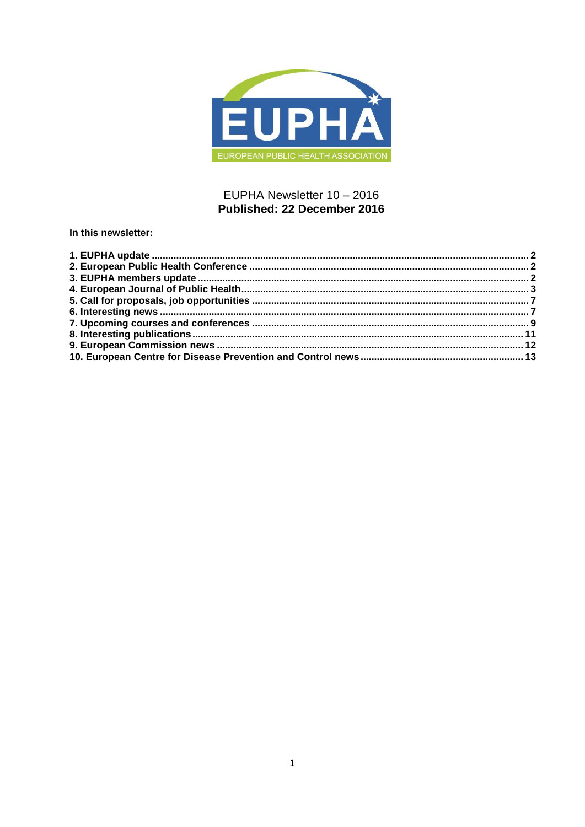

# EUPHA Newsletter 10 - 2016 Published: 22 December 2016

In this newsletter: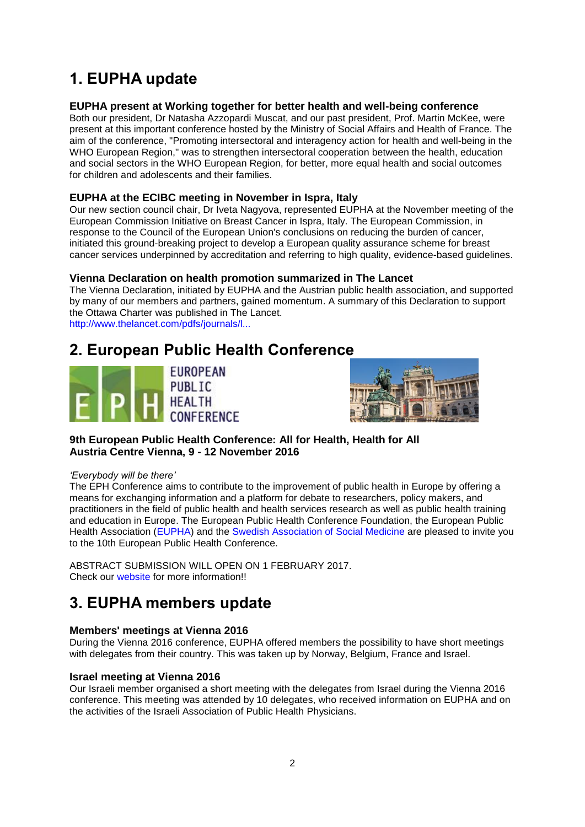# <span id="page-1-0"></span>**1. EUPHA update**

# **EUPHA present at Working together for better health and well-being conference**

Both our president, Dr Natasha Azzopardi Muscat, and our past president, Prof. Martin McKee, were present at this important conference hosted by the Ministry of Social Affairs and Health of France. The aim of the conference, "Promoting intersectoral and interagency action for health and well-being in the WHO European Region," was to strengthen intersectoral cooperation between the health, education and social sectors in the WHO European Region, for better, more equal health and social outcomes for children and adolescents and their families.

# **EUPHA at the ECIBC meeting in November in Ispra, Italy**

Our new section council chair, Dr Iveta Nagyova, represented EUPHA at the November meeting of the European Commission Initiative on Breast Cancer in Ispra, Italy. The European Commission, in response to the Council of the European Union's conclusions on reducing the burden of cancer, initiated this ground-breaking project to develop a European quality assurance scheme for breast cancer services underpinned by accreditation and referring to high quality, evidence-based guidelines.

# **Vienna Declaration on health promotion summarized in The Lancet**

The Vienna Declaration, initiated by EUPHA and the Austrian public health association, and supported by many of our members and partners, gained momentum. A summary of this Declaration to support the Ottawa Charter was published in The Lancet. [http://www.thelancet.com/pdfs/journals/l...](http://www.thelancet.com/pdfs/journals/lanpub/PIIS2468-2667(16)30025-1.pdf)

# <span id="page-1-1"></span>**2. European Public Health Conference**





# **9th European Public Health Conference: All for Health, Health for All Austria Centre Vienna, 9 - 12 November 2016**

### *'Everybody will be there'*

The EPH Conference aims to contribute to the improvement of public health in Europe by offering a means for exchanging information and a platform for debate to researchers, policy makers, and practitioners in the field of public health and health services research as well as public health training and education in Europe. The European Public Health Conference Foundation, the European Public Health Association [\(EUPHA\)](https://eupha.org/) and the [Swedish Association of Social Medicine](http://www.socialmedicin.se/) are pleased to invite you to the 10th European Public Health Conference.

ABSTRACT SUBMISSION WILL OPEN ON 1 FEBRUARY 2017. Check our [website](https://ephconference.eu/) for more information!!

# <span id="page-1-2"></span>**3. EUPHA members update**

# **Members' meetings at Vienna 2016**

During the Vienna 2016 conference, EUPHA offered members the possibility to have short meetings with delegates from their country. This was taken up by Norway, Belgium, France and Israel.

# **Israel meeting at Vienna 2016**

Our Israeli member organised a short meeting with the delegates from Israel during the Vienna 2016 conference. This meeting was attended by 10 delegates, who received information on EUPHA and on the activities of the Israeli Association of Public Health Physicians.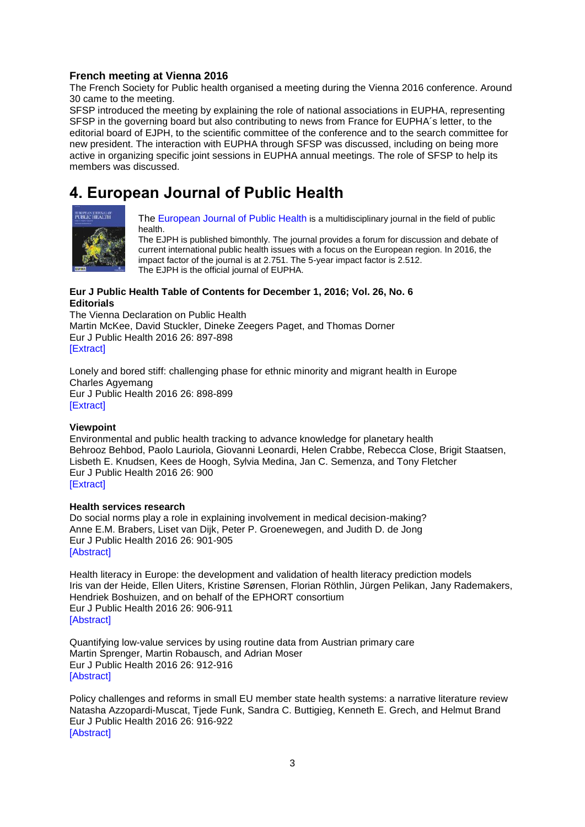# **French meeting at Vienna 2016**

The French Society for Public health organised a meeting during the Vienna 2016 conference. Around 30 came to the meeting.

SFSP introduced the meeting by explaining the role of national associations in EUPHA, representing SFSP in the governing board but also contributing to news from France for EUPHA´s letter, to the editorial board of EJPH, to the scientific committee of the conference and to the search committee for new president. The interaction with EUPHA through SFSP was discussed, including on being more active in organizing specific joint sessions in EUPHA annual meetings. The role of SFSP to help its members was discussed.

# <span id="page-2-0"></span>**4. European Journal of Public Health**



[The European Journal of Public Health](http://eurpub.oxfordjournals.org/) is a multidisciplinary journal in the field of public health.

The EJPH is published bimonthly. The journal provides a forum for discussion and debate of current international public health issues with a focus on the European region. In 2016, the impact factor of the journal is at 2.751. The 5-year impact factor is 2.512. The EJPH is the official journal of EUPHA.

# **Eur J Public Health Table of Contents for December 1, 2016; Vol. 26, No. 6 Editorials**

The Vienna Declaration on Public Health Martin McKee, David Stuckler, Dineke Zeegers Paget, and Thomas Dorner Eur J Public Health 2016 26: 897-898 [\[Extract\]](http://eurpub.oxfordjournals.org/content/26/6/897.extract?etoc)

Lonely and bored stiff: challenging phase for ethnic minority and migrant health in Europe Charles Agyemang Eur J Public Health 2016 26: 898-899 [\[Extract\]](http://eurpub.oxfordjournals.org/content/26/6/898.extract?etoc)

# **Viewpoint**

Environmental and public health tracking to advance knowledge for planetary health Behrooz Behbod, Paolo Lauriola, Giovanni Leonardi, Helen Crabbe, Rebecca Close, Brigit Staatsen, Lisbeth E. Knudsen, Kees de Hoogh, Sylvia Medina, Jan C. Semenza, and Tony Fletcher Eur J Public Health 2016 26: 900 [\[Extract\]](http://eurpub.oxfordjournals.org/content/26/6/900.extract?etoc)

### **Health services research**

Do social norms play a role in explaining involvement in medical decision-making? Anne E.M. Brabers, Liset van Dijk, Peter P. Groenewegen, and Judith D. de Jong Eur J Public Health 2016 26: 901-905 [\[Abstract\]](http://eurpub.oxfordjournals.org/content/26/6/901.abstract?etoc)

Health literacy in Europe: the development and validation of health literacy prediction models Iris van der Heide, Ellen Uiters, Kristine Sørensen, Florian Röthlin, Jürgen Pelikan, Jany Rademakers, Hendriek Boshuizen, and on behalf of the EPHORT consortium Eur J Public Health 2016 26: 906-911 [\[Abstract\]](http://eurpub.oxfordjournals.org/content/26/6/906.abstract?etoc)

Quantifying low-value services by using routine data from Austrian primary care Martin Sprenger, Martin Robausch, and Adrian Moser Eur J Public Health 2016 26: 912-916 [\[Abstract\]](http://eurpub.oxfordjournals.org/content/26/6/912.abstract?etoc)

Policy challenges and reforms in small EU member state health systems: a narrative literature review Natasha Azzopardi-Muscat, Tjede Funk, Sandra C. Buttigieg, Kenneth E. Grech, and Helmut Brand Eur J Public Health 2016 26: 916-922 [\[Abstract\]](http://eurpub.oxfordjournals.org/content/26/6/916.abstract?etoc)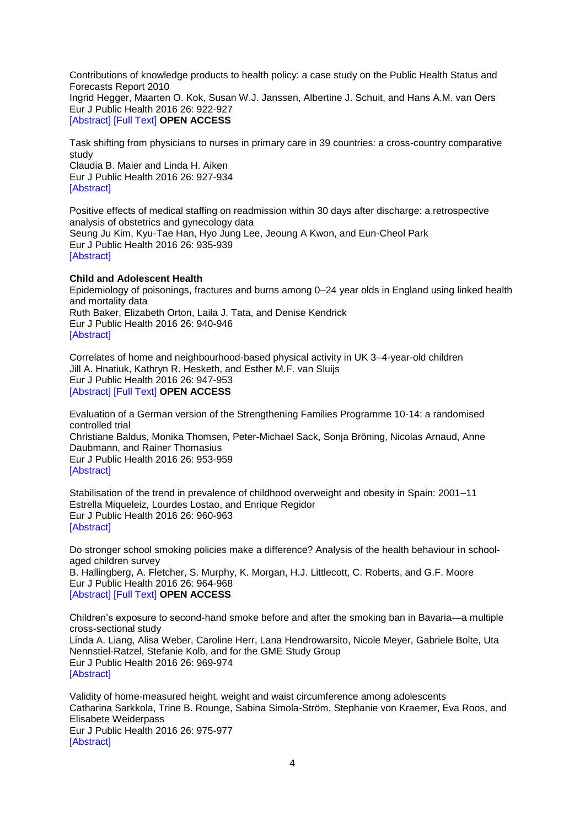Contributions of knowledge products to health policy: a case study on the Public Health Status and Forecasts Report 2010 Ingrid Hegger, Maarten O. Kok, Susan W.J. Janssen, Albertine J. Schuit, and Hans A.M. van Oers Eur J Public Health 2016 26: 922-927 [\[Abstract\]](http://eurpub.oxfordjournals.org/content/26/6/922.abstract?etoc) [\[Full Text\]](http://eurpub.oxfordjournals.org/content/26/6/922.full?etoc) **OPEN ACCESS**

Task shifting from physicians to nurses in primary care in 39 countries: a cross-country comparative study

Claudia B. Maier and Linda H. Aiken Eur J Public Health 2016 26: 927-934 [\[Abstract\]](http://eurpub.oxfordjournals.org/content/26/6/927.abstract?etoc)

Positive effects of medical staffing on readmission within 30 days after discharge: a retrospective analysis of obstetrics and gynecology data Seung Ju Kim, Kyu-Tae Han, Hyo Jung Lee, Jeoung A Kwon, and Eun-Cheol Park Eur J Public Health 2016 26: 935-939 [\[Abstract\]](http://eurpub.oxfordjournals.org/content/26/6/935.abstract?etoc)

### **Child and Adolescent Health**

Epidemiology of poisonings, fractures and burns among 0–24 year olds in England using linked health and mortality data Ruth Baker, Elizabeth Orton, Laila J. Tata, and Denise Kendrick Eur J Public Health 2016 26: 940-946 [\[Abstract\]](http://eurpub.oxfordjournals.org/content/26/6/940.abstract?etoc)

Correlates of home and neighbourhood-based physical activity in UK 3–4-year-old children Jill A. Hnatiuk, Kathryn R. Hesketh, and Esther M.F. van Sluijs Eur J Public Health 2016 26: 947-953 [\[Abstract\]](http://eurpub.oxfordjournals.org/content/26/6/947.abstract?etoc) [\[Full Text\]](http://eurpub.oxfordjournals.org/content/26/6/947.full?etoc) **OPEN ACCESS**

Evaluation of a German version of the Strengthening Families Programme 10-14: a randomised controlled trial Christiane Baldus, Monika Thomsen, Peter-Michael Sack, Sonja Bröning, Nicolas Arnaud, Anne Daubmann, and Rainer Thomasius Eur J Public Health 2016 26: 953-959 [\[Abstract\]](http://eurpub.oxfordjournals.org/content/26/6/953.abstract?etoc)

Stabilisation of the trend in prevalence of childhood overweight and obesity in Spain: 2001–11 Estrella Miqueleiz, Lourdes Lostao, and Enrique Regidor Eur J Public Health 2016 26: 960-963 [\[Abstract\]](http://eurpub.oxfordjournals.org/content/26/6/960.abstract?etoc)

Do stronger school smoking policies make a difference? Analysis of the health behaviour in schoolaged children survey B. Hallingberg, A. Fletcher, S. Murphy, K. Morgan, H.J. Littlecott, C. Roberts, and G.F. Moore Eur J Public Health 2016 26: 964-968 [\[Abstract\]](http://eurpub.oxfordjournals.org/content/26/6/964.abstract?etoc) [\[Full Text\]](http://eurpub.oxfordjournals.org/content/26/6/964.full?etoc) **OPEN ACCESS**

Children's exposure to second-hand smoke before and after the smoking ban in Bavaria—a multiple cross-sectional study Linda A. Liang, Alisa Weber, Caroline Herr, Lana Hendrowarsito, Nicole Meyer, Gabriele Bolte, Uta Nennstiel-Ratzel, Stefanie Kolb, and for the GME Study Group Eur J Public Health 2016 26: 969-974 [\[Abstract\]](http://eurpub.oxfordjournals.org/content/26/6/969.abstract?etoc)

Validity of home-measured height, weight and waist circumference among adolescents Catharina Sarkkola, Trine B. Rounge, Sabina Simola-Ström, Stephanie von Kraemer, Eva Roos, and Elisabete Weiderpass Eur J Public Health 2016 26: 975-977 [\[Abstract\]](http://eurpub.oxfordjournals.org/content/26/6/975.abstract?etoc)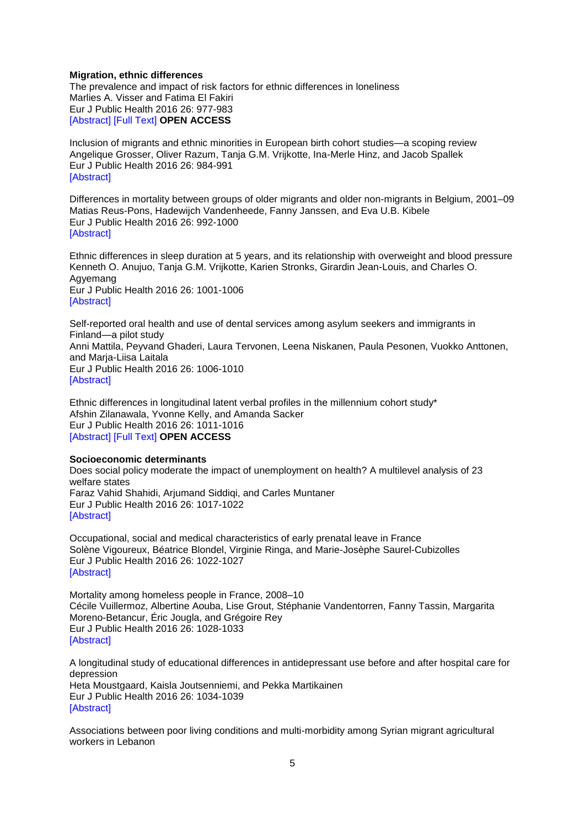### **Migration, ethnic differences**

The prevalence and impact of risk factors for ethnic differences in loneliness Marlies A. Visser and Fatima El Fakiri Eur J Public Health 2016 26: 977-983 [\[Abstract\]](http://eurpub.oxfordjournals.org/content/26/6/977.abstract?etoc) [\[Full Text\]](http://eurpub.oxfordjournals.org/content/26/6/977.full?etoc) **OPEN ACCESS**

Inclusion of migrants and ethnic minorities in European birth cohort studies—a scoping review Angelique Grosser, Oliver Razum, Tanja G.M. Vrijkotte, Ina-Merle Hinz, and Jacob Spallek Eur J Public Health 2016 26: 984-991 [\[Abstract\]](http://eurpub.oxfordjournals.org/content/26/6/984.abstract?etoc)

Differences in mortality between groups of older migrants and older non-migrants in Belgium, 2001–09 Matias Reus-Pons, Hadewijch Vandenheede, Fanny Janssen, and Eva U.B. Kibele Eur J Public Health 2016 26: 992-1000 [\[Abstract\]](http://eurpub.oxfordjournals.org/content/26/6/992.abstract?etoc)

Ethnic differences in sleep duration at 5 years, and its relationship with overweight and blood pressure Kenneth O. Anujuo, Tanja G.M. Vrijkotte, Karien Stronks, Girardin Jean-Louis, and Charles O. Agyemang Eur J Public Health 2016 26: 1001-1006 [\[Abstract\]](http://eurpub.oxfordjournals.org/content/26/6/1001.abstract?etoc)

Self-reported oral health and use of dental services among asylum seekers and immigrants in Finland—a pilot study Anni Mattila, Peyvand Ghaderi, Laura Tervonen, Leena Niskanen, Paula Pesonen, Vuokko Anttonen, and Marja-Liisa Laitala Eur J Public Health 2016 26: 1006-1010 [\[Abstract\]](http://eurpub.oxfordjournals.org/content/26/6/1006.abstract?etoc)

Ethnic differences in longitudinal latent verbal profiles in the millennium cohort study\* Afshin Zilanawala, Yvonne Kelly, and Amanda Sacker Eur J Public Health 2016 26: 1011-1016 [\[Abstract\]](http://eurpub.oxfordjournals.org/content/26/6/1011.abstract?etoc) [\[Full Text\]](http://eurpub.oxfordjournals.org/content/26/6/1011.full?etoc) **OPEN ACCESS**

### **Socioeconomic determinants**

Does social policy moderate the impact of unemployment on health? A multilevel analysis of 23 welfare states Faraz Vahid Shahidi, Arjumand Siddiqi, and Carles Muntaner Eur J Public Health 2016 26: 1017-1022 [\[Abstract\]](http://eurpub.oxfordjournals.org/content/26/6/1017.abstract?etoc)

Occupational, social and medical characteristics of early prenatal leave in France Solène Vigoureux, Béatrice Blondel, Virginie Ringa, and Marie-Josèphe Saurel-Cubizolles Eur J Public Health 2016 26: 1022-1027 [\[Abstract\]](http://eurpub.oxfordjournals.org/content/26/6/1022.abstract?etoc)

Mortality among homeless people in France, 2008–10 Cécile Vuillermoz, Albertine Aouba, Lise Grout, Stéphanie Vandentorren, Fanny Tassin, Margarita Moreno-Betancur, Éric Jougla, and Grégoire Rey Eur J Public Health 2016 26: 1028-1033 [\[Abstract\]](http://eurpub.oxfordjournals.org/content/26/6/1028.abstract?etoc)

A longitudinal study of educational differences in antidepressant use before and after hospital care for depression Heta Moustgaard, Kaisla Joutsenniemi, and Pekka Martikainen Eur J Public Health 2016 26: 1034-1039 [\[Abstract\]](http://eurpub.oxfordjournals.org/content/26/6/1034.abstract?etoc)

Associations between poor living conditions and multi-morbidity among Syrian migrant agricultural workers in Lebanon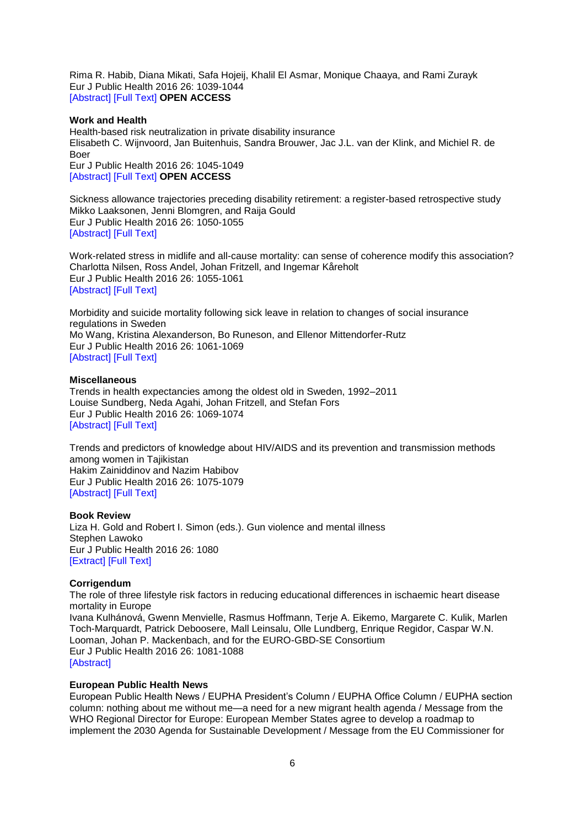Rima R. Habib, Diana Mikati, Safa Hojeij, Khalil El Asmar, Monique Chaaya, and Rami Zurayk Eur J Public Health 2016 26: 1039-1044 [\[Abstract\]](http://eurpub.oxfordjournals.org/content/26/6/1039.abstract?etoc) [\[Full Text\]](http://eurpub.oxfordjournals.org/content/26/6/1039.full?etoc) **OPEN ACCESS**

### **Work and Health**

Health-based risk neutralization in private disability insurance Elisabeth C. Wijnvoord, Jan Buitenhuis, Sandra Brouwer, Jac J.L. van der Klink, and Michiel R. de Boer Eur J Public Health 2016 26: 1045-1049

[\[Abstract\]](http://eurpub.oxfordjournals.org/content/26/6/1045.abstract?etoc) [\[Full Text\]](http://eurpub.oxfordjournals.org/content/26/6/1045.full?etoc) **OPEN ACCESS**

Sickness allowance trajectories preceding disability retirement: a register-based retrospective study Mikko Laaksonen, Jenni Blomgren, and Raija Gould Eur J Public Health 2016 26: 1050-1055 [\[Abstract\]](http://eurpub.oxfordjournals.org/content/26/6/1050.abstract?etoc) [\[Full Text\]](http://eurpub.oxfordjournals.org/content/26/6/1050.full?etoc)

Work-related stress in midlife and all-cause mortality: can sense of coherence modify this association? Charlotta Nilsen, Ross Andel, Johan Fritzell, and Ingemar Kåreholt Eur J Public Health 2016 26: 1055-1061 [\[Abstract\]](http://eurpub.oxfordjournals.org/content/26/6/1055.abstract?etoc) [\[Full Text\]](http://eurpub.oxfordjournals.org/content/26/6/1055.full?etoc)

Morbidity and suicide mortality following sick leave in relation to changes of social insurance regulations in Sweden Mo Wang, Kristina Alexanderson, Bo Runeson, and Ellenor Mittendorfer-Rutz Eur J Public Health 2016 26: 1061-1069 [\[Abstract\]](http://eurpub.oxfordjournals.org/content/26/6/1061.abstract?etoc) [\[Full Text\]](http://eurpub.oxfordjournals.org/content/26/6/1061.full?etoc)

### **Miscellaneous**

Trends in health expectancies among the oldest old in Sweden, 1992–2011 Louise Sundberg, Neda Agahi, Johan Fritzell, and Stefan Fors Eur J Public Health 2016 26: 1069-1074 [\[Abstract\]](http://eurpub.oxfordjournals.org/content/26/6/1069.abstract?etoc) [\[Full Text\]](http://eurpub.oxfordjournals.org/content/26/6/1069.full?etoc)

Trends and predictors of knowledge about HIV/AIDS and its prevention and transmission methods among women in Tajikistan Hakim Zainiddinov and Nazim Habibov Eur J Public Health 2016 26: 1075-1079 **[\[Abstract\]](http://eurpub.oxfordjournals.org/content/26/6/1075.abstract?etoc) [\[Full Text\]](http://eurpub.oxfordjournals.org/content/26/6/1075.full?etoc)** 

### **Book Review**

Liza H. Gold and Robert I. Simon (eds.). Gun violence and mental illness Stephen Lawoko Eur J Public Health 2016 26: 1080 [\[Extract\]](http://eurpub.oxfordjournals.org/content/26/6/1080.extract?etoc) [\[Full Text\]](http://eurpub.oxfordjournals.org/content/26/6/1080.full?etoc)

### **Corrigendum**

The role of three lifestyle risk factors in reducing educational differences in ischaemic heart disease mortality in Europe Ivana Kulhánová, Gwenn Menvielle, Rasmus Hoffmann, Terje A. Eikemo, Margarete C. Kulik, Marlen Toch-Marquardt, Patrick Deboosere, Mall Leinsalu, Olle Lundberg, Enrique Regidor, Caspar W.N. Looman, Johan P. Mackenbach, and for the EURO-GBD-SE Consortium Eur J Public Health 2016 26: 1081-1088 [\[Abstract\]](http://eurpub.oxfordjournals.org/content/26/6/1081.abstract?etoc)

### **European Public Health News**

European Public Health News / EUPHA President's Column / EUPHA Office Column / EUPHA section column: nothing about me without me—a need for a new migrant health agenda / Message from the WHO Regional Director for Europe: European Member States agree to develop a roadmap to implement the 2030 Agenda for Sustainable Development / Message from the EU Commissioner for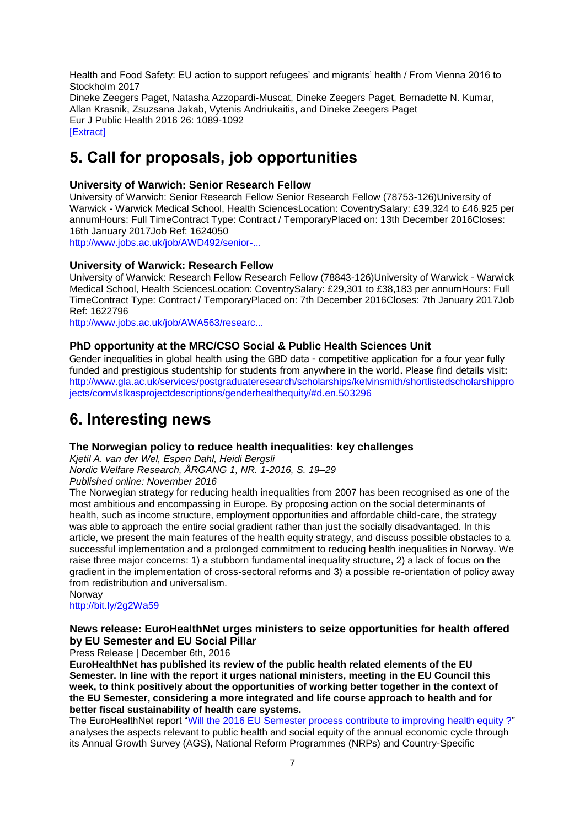Health and Food Safety: EU action to support refugees' and migrants' health / From Vienna 2016 to Stockholm 2017 Dineke Zeegers Paget, Natasha Azzopardi-Muscat, Dineke Zeegers Paget, Bernadette N. Kumar, Allan Krasnik, Zsuzsana Jakab, Vytenis Andriukaitis, and Dineke Zeegers Paget Eur J Public Health 2016 26: 1089-1092 [\[Extract\]](http://eurpub.oxfordjournals.org/content/26/6/1089.extract?etoc)

# <span id="page-6-0"></span>**5. Call for proposals, job opportunities**

# **University of Warwich: Senior Research Fellow**

University of Warwich: Senior Research Fellow Senior Research Fellow (78753-126)University of Warwick - Warwick Medical School, Health SciencesLocation: CoventrySalary: £39,324 to £46,925 per annumHours: Full TimeContract Type: Contract / TemporaryPlaced on: 13th December 2016Closes: 16th January 2017Job Ref: 1624050 [http://www.jobs.ac.uk/job/AWD492/senior-...](http://www.jobs.ac.uk/job/AWD492/senior-research-fellow-78753-126/)

# **University of Warwick: Research Fellow**

University of Warwick: Research Fellow Research Fellow (78843-126)University of Warwick - Warwick Medical School, Health SciencesLocation: CoventrySalary: £29,301 to £38,183 per annumHours: Full TimeContract Type: Contract / TemporaryPlaced on: 7th December 2016Closes: 7th January 2017Job Ref: 1622796

[http://www.jobs.ac.uk/job/AWA563/researc...](http://www.jobs.ac.uk/job/AWA563/research-fellow-78843-126/)

# **PhD opportunity at the MRC/CSO Social & Public Health Sciences Unit**

Gender inequalities in global health using the GBD data - competitive application for a four year fully funded and prestigious studentship for students from anywhere in the world. Please find details visit: [http://www.gla.ac.uk/services/postgraduateresearch/scholarships/kelvinsmith/shortlistedscholarshippro](http://www.gla.ac.uk/services/postgraduateresearch/scholarships/kelvinsmith/shortlistedscholarshipprojects/comvlslkasprojectdescriptions/genderhealthequity/#d.en.503296) [jects/comvlslkasprojectdescriptions/genderhealthequity/#d.en.503296](http://www.gla.ac.uk/services/postgraduateresearch/scholarships/kelvinsmith/shortlistedscholarshipprojects/comvlslkasprojectdescriptions/genderhealthequity/#d.en.503296)

# <span id="page-6-1"></span>**6. Interesting news**

# **The Norwegian policy to reduce health inequalities: key challenges**

*Kjetil A. van der Wel, Espen Dahl, Heidi Bergsli Nordic Welfare Research, ÅRGANG 1, NR. 1-2016, S. 19–29 Published online: November 2016*

The Norwegian strategy for reducing health inequalities from 2007 has been recognised as one of the most ambitious and encompassing in Europe. By proposing action on the social determinants of health, such as income structure, employment opportunities and affordable child-care, the strategy was able to approach the entire social gradient rather than just the socially disadvantaged. In this article, we present the main features of the health equity strategy, and discuss possible obstacles to a successful implementation and a prolonged commitment to reducing health inequalities in Norway. We raise three major concerns: 1) a stubborn fundamental inequality structure, 2) a lack of focus on the gradient in the implementation of cross-sectoral reforms and 3) a possible re-orientation of policy away from redistribution and universalism.

Norway <http://bit.ly/2g2Wa59>

# **News release: EuroHealthNet urges ministers to seize opportunities for health offered by EU Semester and EU Social Pillar**

Press Release | December 6th, 2016

**EuroHealthNet has published its review of the public health related elements of the EU Semester. In line with the report it urges national ministers, meeting in the EU Council this week, to think positively about the opportunities of working better together in the context of the EU Semester, considering a more integrated and life course approach to health and for better fiscal sustainability of health care systems.**

The EuroHealthNet report ["Will the 2016 EU Semester process contribute to improving health equity ?"](http://eurohealthnet.eu/publication/will-2016-eu-semester-process-contribute-improving-health-equity) analyses the aspects relevant to public health and social equity of the annual economic cycle through its Annual Growth Survey (AGS), National Reform Programmes (NRPs) and Country-Specific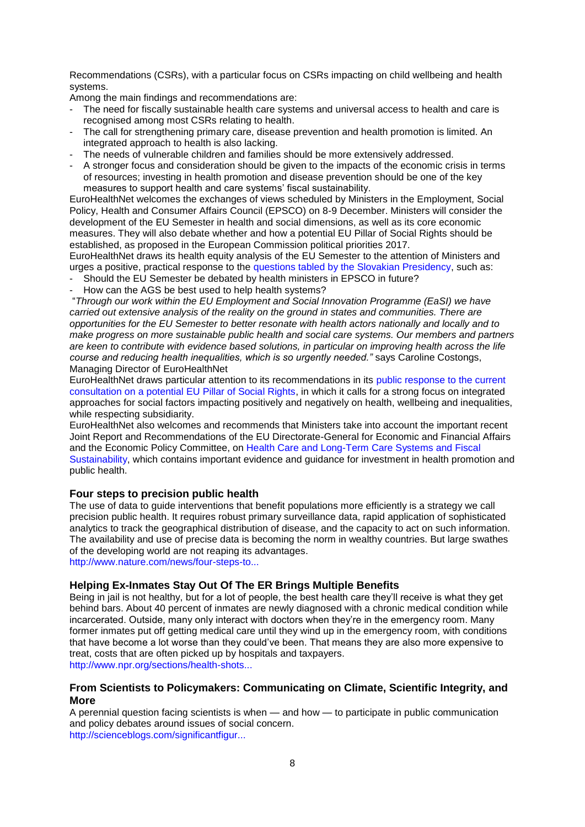Recommendations (CSRs), with a particular focus on CSRs impacting on child wellbeing and health systems.

Among the main findings and recommendations are:

- The need for fiscally sustainable health care systems and universal access to health and care is recognised among most CSRs relating to health.
- The call for strengthening primary care, disease prevention and health promotion is limited. An integrated approach to health is also lacking.
- The needs of vulnerable children and families should be more extensively addressed.
- A stronger focus and consideration should be given to the impacts of the economic crisis in terms of resources; investing in health promotion and disease prevention should be one of the key measures to support health and care systems' fiscal sustainability.

EuroHealthNet welcomes the exchanges of views scheduled by Ministers in the Employment, Social Policy, Health and Consumer Affairs Council (EPSCO) on 8-9 December. Ministers will consider the development of the EU Semester in health and social dimensions, as well as its core economic measures. They will also debate whether and how a potential EU Pillar of Social Rights should be established, as proposed in the European Commission political priorities 2017.

EuroHealthNet draws its health equity analysis of the EU Semester to the attention of Ministers and urges a positive, practical response to the [questions tabled by the Slovakian Presidency,](http://data.consilium.europa.eu/doc/document/ST-14363-2016-INIT/en/pdf) such as:

- Should the EU Semester be debated by health ministers in EPSCO in future?
- How can the AGS be best used to help health systems?

"*Through our work within the EU Employment and Social Innovation Programme (EaSI) we have carried out extensive analysis of the reality on the ground in states and communities. There are opportunities for the EU Semester to better resonate with health actors nationally and locally and to make progress on more sustainable public health and social care systems. Our members and partners are keen to contribute with evidence based solutions, in particular on improving health across the life course and reducing health inequalities, which is so urgently needed."* says Caroline Costongs, Managing Director of EuroHealthNet

EuroHealthNet draws particular attention to its recommendations in its [public response to the current](http://eurohealthnet.eu/sites/eurohealthnet.eu/files/publications/Final%20authorised%20public%20response%20on%20a%20potential%20EU%20Social%20Pillar.pdf)  [consultation on a potential EU Pillar of Social Rights,](http://eurohealthnet.eu/sites/eurohealthnet.eu/files/publications/Final%20authorised%20public%20response%20on%20a%20potential%20EU%20Social%20Pillar.pdf) in which it calls for a strong focus on integrated approaches for social factors impacting positively and negatively on health, wellbeing and inequalities, while respecting subsidiarity.

EuroHealthNet also welcomes and recommends that Ministers take into account the important recent Joint Report and Recommendations of the EU Directorate-General for Economic and Financial Affairs and the Economic Policy Committee, on [Health Care and Long-Term Care Systems and Fiscal](http://ec.europa.eu/economy_finance/publications/eeip/ip037_en.htm)  [Sustainability,](http://ec.europa.eu/economy_finance/publications/eeip/ip037_en.htm) which contains important evidence and guidance for investment in health promotion and public health.

# **Four steps to precision public health**

The use of data to guide interventions that benefit populations more efficiently is a strategy we call precision public health. It requires robust primary surveillance data, rapid application of sophisticated analytics to track the geographical distribution of disease, and the capacity to act on such information. The availability and use of precise data is becoming the norm in wealthy countries. But large swathes of the developing world are not reaping its advantages.

[http://www.nature.com/news/four-steps-to...](http://www.nature.com/news/four-steps-to-precision-public-health-1.21089)

# **Helping Ex-Inmates Stay Out Of The ER Brings Multiple Benefits**

Being in jail is not healthy, but for a lot of people, the best health care they'll receive is what they get behind bars. About 40 percent of inmates are newly diagnosed with a chronic medical condition while incarcerated. Outside, many only interact with doctors when they're in the emergency room. Many former inmates put off getting medical care until they wind up in the emergency room, with conditions that have become a lot worse than they could've been. That means they are also more expensive to treat, costs that are often picked up by hospitals and taxpayers. [http://www.npr.org/sections/health-shots...](http://www.npr.org/sections/health-shots/2016/12/05/499775644/helping-ex-inmates-stay-out-of-the-er-brings-multiple-benefits)

# **From Scientists to Policymakers: Communicating on Climate, Scientific Integrity, and More**

A perennial question facing scientists is when — and how — to participate in public communication and policy debates around issues of social concern. [http://scienceblogs.com/significantfigur...](http://scienceblogs.com/significantfigures/index.php/2016/12/01/from-scientists-to-policymakers-communicating-on-climate-scientific-integrity-and-more/)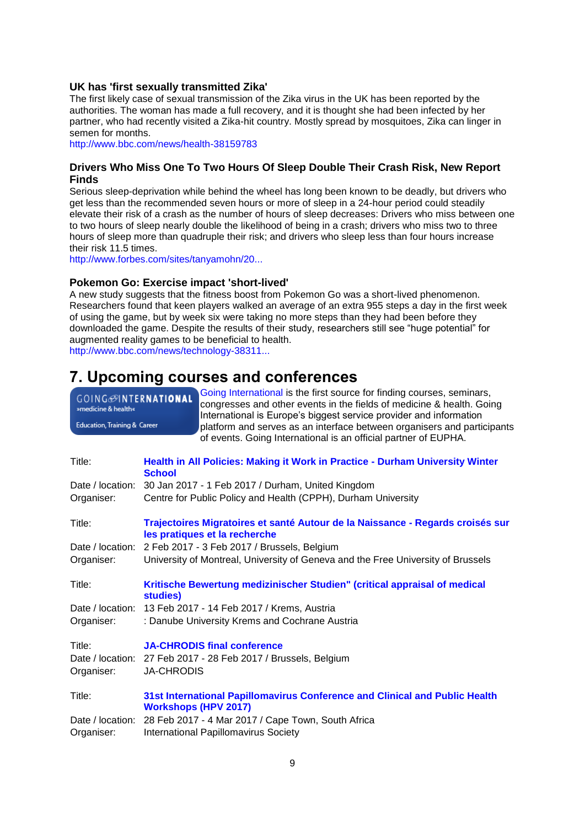### **UK has 'first sexually transmitted Zika'**

The first likely case of sexual transmission of the Zika virus in the UK has been reported by the authorities. The woman has made a full recovery, and it is thought she had been infected by her partner, who had recently visited a Zika-hit country. Mostly spread by mosquitoes, Zika can linger in semen for months.

<http://www.bbc.com/news/health-38159783>

# **Drivers Who Miss One To Two Hours Of Sleep Double Their Crash Risk, New Report Finds**

Serious sleep-deprivation while behind the wheel has long been known to be deadly, but drivers who get less than the recommended seven hours or more of sleep in a 24-hour period could steadily elevate their risk of a crash as the number of hours of sleep decreases: Drivers who miss between one to two hours of sleep nearly double the likelihood of being in a crash; drivers who miss two to three hours of sleep more than quadruple their risk; and drivers who sleep less than four hours increase their risk 11.5 times.

[http://www.forbes.com/sites/tanyamohn/20...](http://www.forbes.com/sites/tanyamohn/2016/12/11/drivers-who-miss-one-to-two-hours-of-sleep-double-their-crash-risk-new-report-finds/#401b3a2332c8)

### **Pokemon Go: Exercise impact 'short-lived'**

A new study suggests that the fitness boost from Pokemon Go was a short-lived phenomenon. Researchers found that keen players walked an average of an extra 955 steps a day in the first week of using the game, but by week six were taking no more steps than they had been before they downloaded the game. Despite the results of their study, researchers still see "huge potential" for augmented reality games to be beneficial to health.

[http://www.bbc.com/news/technology-38311...](http://www.bbc.com/news/technology-38311371)

# <span id="page-8-0"></span>**7. Upcoming courses and conferences**

| GOING <sup>OINTERNATIONAL</sup><br>»medicine & health« | Going International is the first source for finding courses, seminars,<br>congresses and other events in the fields of medicine & health. Going<br>International is Europe's biggest service provider and information |  |  |
|--------------------------------------------------------|-----------------------------------------------------------------------------------------------------------------------------------------------------------------------------------------------------------------------|--|--|
| Education, Training & Career                           | platform and serves as an interface between organisers and participants<br>of events. Going International is an official partner of EUPHA.                                                                            |  |  |
| Title:                                                 | Health in All Policies: Making it Work in Practice - Durham University Winter<br><b>School</b>                                                                                                                        |  |  |
| Date / location:                                       | 30 Jan 2017 - 1 Feb 2017 / Durham, United Kingdom                                                                                                                                                                     |  |  |
| Organiser:                                             | Centre for Public Policy and Health (CPPH), Durham University                                                                                                                                                         |  |  |
| Title:                                                 | Trajectoires Migratoires et santé Autour de la Naissance - Regards croisés sur<br>les pratiques et la recherche                                                                                                       |  |  |
| Date / location:                                       | 2 Feb 2017 - 3 Feb 2017 / Brussels, Belgium                                                                                                                                                                           |  |  |
| Organiser:                                             | University of Montreal, University of Geneva and the Free University of Brussels                                                                                                                                      |  |  |
| Title:                                                 | Kritische Bewertung medizinischer Studien" (critical appraisal of medical<br>studies)                                                                                                                                 |  |  |
| Date / location:                                       | 13 Feb 2017 - 14 Feb 2017 / Krems, Austria                                                                                                                                                                            |  |  |
| Organiser:                                             | : Danube University Krems and Cochrane Austria                                                                                                                                                                        |  |  |
| Title:<br>Date / location:<br>Organiser:               | <b>JA-CHRODIS final conference</b><br>27 Feb 2017 - 28 Feb 2017 / Brussels, Belgium<br><b>JA-CHRODIS</b>                                                                                                              |  |  |
| Title:                                                 | 31st International Papillomavirus Conference and Clinical and Public Health<br><b>Workshops (HPV 2017)</b>                                                                                                            |  |  |
| Date / location:<br>Organiser:                         | 28 Feb 2017 - 4 Mar 2017 / Cape Town, South Africa<br><b>International Papillomavirus Society</b>                                                                                                                     |  |  |
|                                                        |                                                                                                                                                                                                                       |  |  |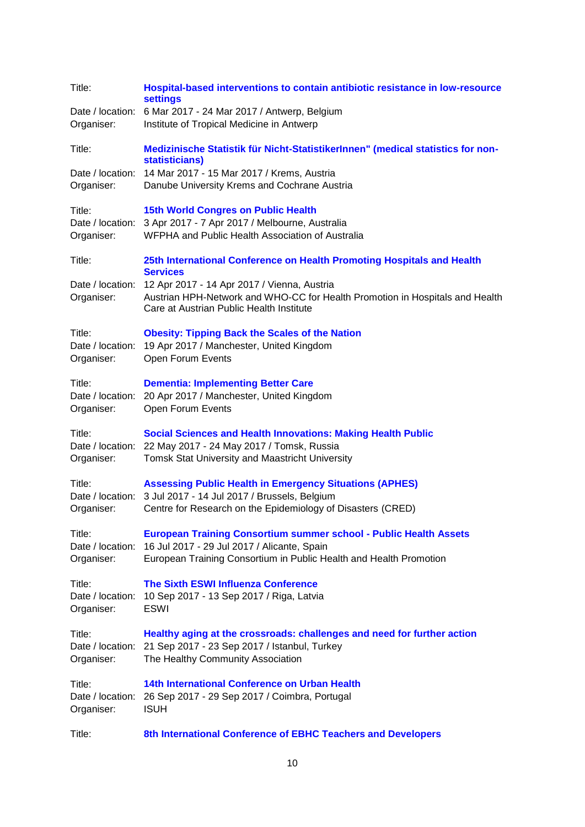| Title:                                   | Hospital-based interventions to contain antibiotic resistance in low-resource<br><b>settings</b><br>Date / location: 6 Mar 2017 - 24 Mar 2017 / Antwerp, Belgium                              |
|------------------------------------------|-----------------------------------------------------------------------------------------------------------------------------------------------------------------------------------------------|
| Organiser:                               | Institute of Tropical Medicine in Antwerp                                                                                                                                                     |
| Title:                                   | Medizinische Statistik für Nicht-StatistikerInnen" (medical statistics for non-<br>statisticians)                                                                                             |
| Date / location:<br>Organiser:           | 14 Mar 2017 - 15 Mar 2017 / Krems, Austria<br>Danube University Krems and Cochrane Austria                                                                                                    |
| Title:<br>Organiser:                     | <b>15th World Congres on Public Health</b><br>Date / location: 3 Apr 2017 - 7 Apr 2017 / Melbourne, Australia<br>WFPHA and Public Health Association of Australia                             |
| Title:                                   | 25th International Conference on Health Promoting Hospitals and Health<br><b>Services</b>                                                                                                     |
| Organiser:                               | Date / location: 12 Apr 2017 - 14 Apr 2017 / Vienna, Austria<br>Austrian HPH-Network and WHO-CC for Health Promotion in Hospitals and Health<br>Care at Austrian Public Health Institute      |
| Title:<br>Organiser:                     | <b>Obesity: Tipping Back the Scales of the Nation</b><br>Date / location: 19 Apr 2017 / Manchester, United Kingdom<br>Open Forum Events                                                       |
| Title:<br>Organiser:                     | <b>Dementia: Implementing Better Care</b><br>Date / location: 20 Apr 2017 / Manchester, United Kingdom<br>Open Forum Events                                                                   |
| Title:<br>Organiser:                     | <b>Social Sciences and Health Innovations: Making Health Public</b><br>Date / location: 22 May 2017 - 24 May 2017 / Tomsk, Russia<br>Tomsk Stat University and Maastricht University          |
| Title:<br>Date / location:<br>Organiser: | <b>Assessing Public Health in Emergency Situations (APHES)</b><br>3 Jul 2017 - 14 Jul 2017 / Brussels, Belgium<br>Centre for Research on the Epidemiology of Disasters (CRED)                 |
| Title:<br>Date / location:<br>Organiser: | <b>European Training Consortium summer school - Public Health Assets</b><br>16 Jul 2017 - 29 Jul 2017 / Alicante, Spain<br>European Training Consortium in Public Health and Health Promotion |
| Title:<br>Date / location:<br>Organiser: | <b>The Sixth ESWI Influenza Conference</b><br>10 Sep 2017 - 13 Sep 2017 / Riga, Latvia<br><b>ESWI</b>                                                                                         |
| Title:<br>Date / location:<br>Organiser: | Healthy aging at the crossroads: challenges and need for further action<br>21 Sep 2017 - 23 Sep 2017 / Istanbul, Turkey<br>The Healthy Community Association                                  |
| Title:<br>Date / location:<br>Organiser: | 14th International Conference on Urban Health<br>26 Sep 2017 - 29 Sep 2017 / Coimbra, Portugal<br><b>ISUH</b>                                                                                 |
| Title:                                   | 8th International Conference of EBHC Teachers and Developers                                                                                                                                  |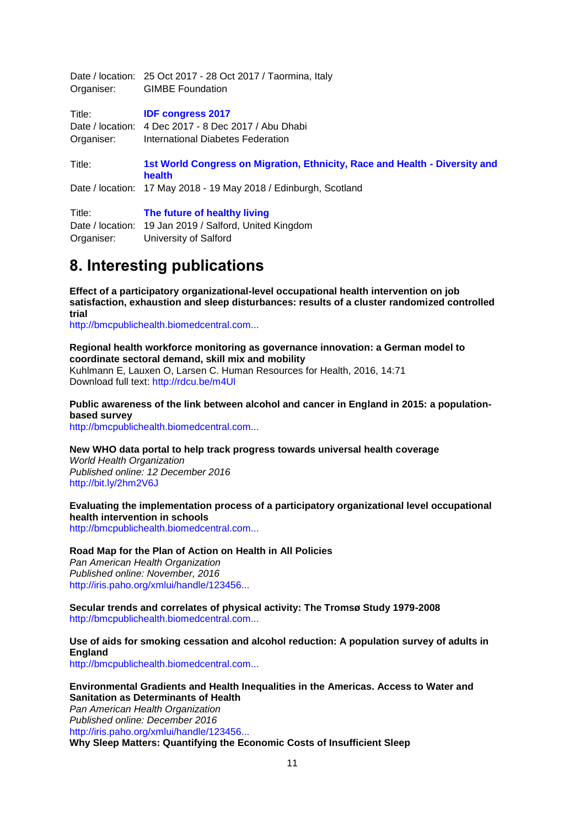| Organiser: | Date / location: 25 Oct 2017 - 28 Oct 2017 / Taormina, Italy<br><b>GIMBE Foundation</b> |
|------------|-----------------------------------------------------------------------------------------|
| Title:     | <b>IDF congress 2017</b>                                                                |
|            | Date / location: 4 Dec 2017 - 8 Dec 2017 / Abu Dhabi                                    |
| Organiser: | International Diabetes Federation                                                       |
| Title:     | 1st World Congress on Migration, Ethnicity, Race and Health - Diversity and<br>health   |
|            | Date / location: 17 May 2018 - 19 May 2018 / Edinburgh, Scotland                        |
| Title:     | The future of healthy living                                                            |
|            | Date / location: 19 Jan 2019 / Salford, United Kingdom                                  |
| Organiser: | University of Salford                                                                   |
|            |                                                                                         |

# <span id="page-10-0"></span>**8. Interesting publications**

**Effect of a participatory organizational-level occupational health intervention on job satisfaction, exhaustion and sleep disturbances: results of a cluster randomized controlled trial**

[http://bmcpublichealth.biomedcentral.com...](http://bmcpublichealth.biomedcentral.com/articles/10.1186/s12889-016-3871-6#Abs1)

**Regional health workforce monitoring as governance innovation: a German model to coordinate sectoral demand, skill mix and mobility**

Kuhlmann E, Lauxen O, Larsen C. Human Resources for Health, 2016, 14:71 Download full text:<http://rdcu.be/m4Ul>

**Public awareness of the link between alcohol and cancer in England in 2015: a populationbased survey**

[http://bmcpublichealth.biomedcentral.com...](http://bmcpublichealth.biomedcentral.com/articles/10.1186/s12889-016-3855-6#Abs1)

**New WHO data portal to help track progress towards universal health coverage**

*World Health Organization Published online: 12 December 2016* <http://bit.ly/2hm2V6J>

**Evaluating the implementation process of a participatory organizational level occupational health intervention in schools**

[http://bmcpublichealth.biomedcentral.com...](http://bmcpublichealth.biomedcentral.com/articles/10.1186/s12889-016-3869-0#Abs1)

### **Road Map for the Plan of Action on Health in All Policies**

*Pan American Health Organization Published online: November, 2016* [http://iris.paho.org/xmlui/handle/123456...](http://iris.paho.org/xmlui/handle/123456789/31313)

**Secular trends and correlates of physical activity: The Tromsø Study 1979-2008** [http://bmcpublichealth.biomedcentral.com...](http://bmcpublichealth.biomedcentral.com/articles/10.1186/s12889-016-3886-z#Abs1)

### **Use of aids for smoking cessation and alcohol reduction: A population survey of adults in England**

[http://bmcpublichealth.biomedcentral.com...](http://bmcpublichealth.biomedcentral.com/articles/10.1186/s12889-016-3862-7#Abs1)

### **Environmental Gradients and Health Inequalities in the Americas. Access to Water and Sanitation as Determinants of Health**

*Pan American Health Organization Published online: December 2016* [http://iris.paho.org/xmlui/handle/123456...](http://iris.paho.org/xmlui/handle/123456789/31404)

**Why Sleep Matters: Quantifying the Economic Costs of Insufficient Sleep**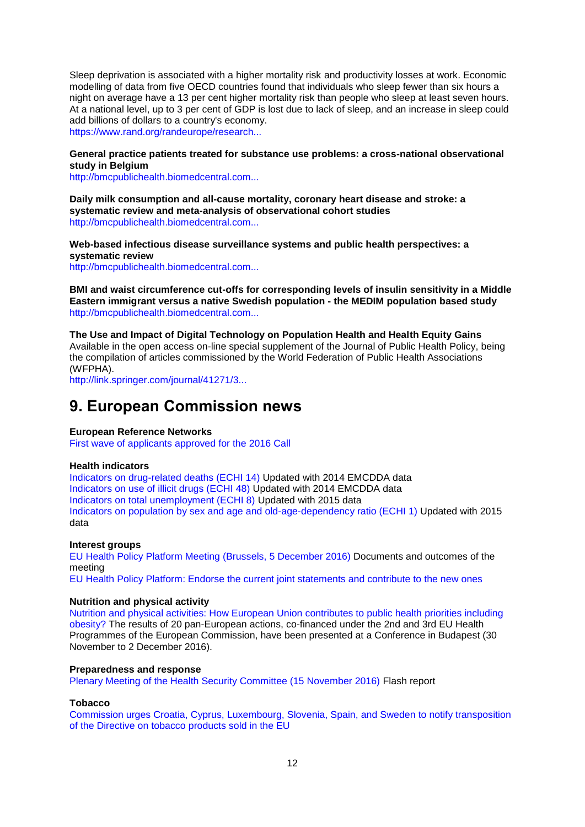Sleep deprivation is associated with a higher mortality risk and productivity losses at work. Economic modelling of data from five OECD countries found that individuals who sleep fewer than six hours a night on average have a 13 per cent higher mortality risk than people who sleep at least seven hours. At a national level, up to 3 per cent of GDP is lost due to lack of sleep, and an increase in sleep could add billions of dollars to a country's economy. [https://www.rand.org/randeurope/research...](https://www.rand.org/randeurope/research/projects/the-value-of-the-sleep-economy.html)

**General practice patients treated for substance use problems: a cross-national observational study in Belgium**

[http://bmcpublichealth.biomedcentral.com...](http://bmcpublichealth.biomedcentral.com/articles/10.1186/s12889-016-3885-0#Abs1)

**Daily milk consumption and all-cause mortality, coronary heart disease and stroke: a systematic review and meta-analysis of observational cohort studies** [http://bmcpublichealth.biomedcentral.com...](http://bmcpublichealth.biomedcentral.com/articles/10.1186/s12889-016-3889-9#Abs1)

**Web-based infectious disease surveillance systems and public health perspectives: a systematic review**

[http://bmcpublichealth.biomedcentral.com...](http://bmcpublichealth.biomedcentral.com/articles/10.1186/s12889-016-3893-0#Abs1)

**BMI and waist circumference cut-offs for corresponding levels of insulin sensitivity in a Middle Eastern immigrant versus a native Swedish population - the MEDIM population based study** [http://bmcpublichealth.biomedcentral.com...](http://bmcpublichealth.biomedcentral.com/articles/10.1186/s12889-016-3892-1#Abs1)

**The Use and Impact of Digital Technology on Population Health and Health Equity Gains** Available in the open access on-line special supplement of the Journal of Public Health Policy, being the compilation of articles commissioned by the World Federation of Public Health Associations (WFPHA).

[http://link.springer.com/journal/41271/3...](http://link.springer.com/journal/41271/37/2/suppl/page/1)

# <span id="page-11-0"></span>**9. European Commission news**

### **European Reference Networks**

[First wave of applicants approved for the 2016 Call](https://ec.europa.eu/health/ern/implementation/call_en)

#### **Health indicators**

[Indicators on drug-related deaths \(ECHI 14\)](https://ec.europa.eu/health/indicators/echi/list_en#id2) Updated with 2014 EMCDDA data [Indicators on use of illicit drugs \(ECHI 48\) U](https://ec.europa.eu/health/indicators/echi/list_en#id3)pdated with 2014 EMCDDA data [Indicators on total unemployment \(ECHI 8\)](https://ec.europa.eu/health/indicators/echi/list_en#id1) Updated with 2015 data [Indicators on population by sex and age and old-age-dependency ratio \(ECHI 1\)](https://ec.europa.eu/health/indicators/echi/list_en#id1) Updated with 2015 data

#### **Interest groups**

[EU Health Policy Platform Meeting \(Brussels, 5 December 2016\)](https://ec.europa.eu/health/interest_groups/events/ev_20161205_en) Documents and outcomes of the meeting

[EU Health Policy Platform: Endorse the current joint statements and contribute to the new ones](https://webgate.ec.europa.eu/hpf/)

### **Nutrition and physical activity**

[Nutrition and physical activities: How European Union contributes to public health priorities including](http://ec.europa.eu/chafea/news/news471.html)  [obesity?](http://ec.europa.eu/chafea/news/news471.html) The results of 20 pan-European actions, co-financed under the 2nd and 3rd EU Health Programmes of the European Commission, have been presented at a Conference in Budapest (30 November to 2 December 2016).

#### **Preparedness and response**

[Plenary Meeting of the Health Security Committee \(15 November 2016\)](http://ec.europa.eu/health/sites/health/files/cross_border_care/docs/ev_20161115_flash_en.pdf) Flash report

### **Tobacco**

[Commission urges Croatia, Cyprus, Luxembourg, Slovenia, Spain, and Sweden to notify transposition](http://ec.europa.eu/dgs/health_food-safety/dyna/enews/enews.cfm?al_id=1741)  [of the Directive on tobacco products sold in the EU](http://ec.europa.eu/dgs/health_food-safety/dyna/enews/enews.cfm?al_id=1741)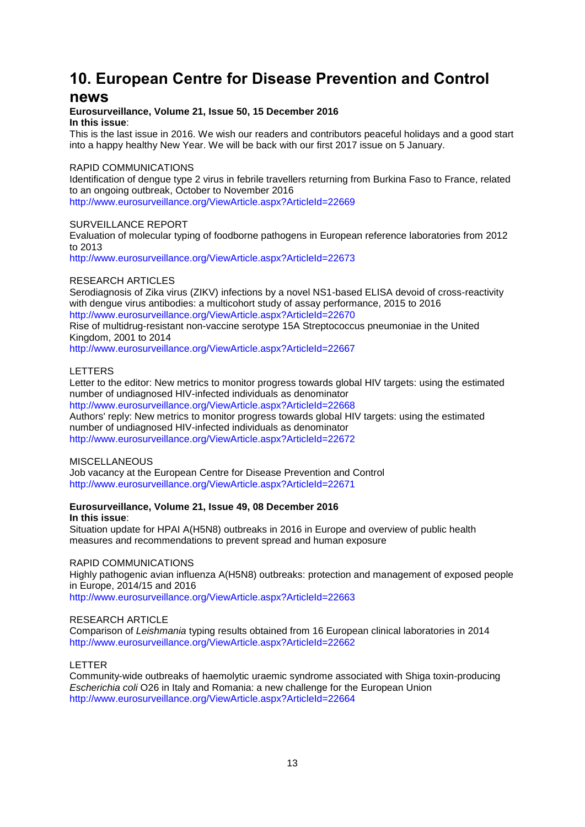# <span id="page-12-0"></span>**10. European Centre for Disease Prevention and Control**

# **news**

### **Eurosurveillance, Volume 21, Issue 50, 15 December 2016 In this issue**:

This is the last issue in 2016. We wish our readers and contributors peaceful holidays and a good start into a happy healthy New Year. We will be back with our first 2017 issue on 5 January.

## RAPID COMMUNICATIONS

Identification of dengue type 2 virus in febrile travellers returning from Burkina Faso to France, related to an ongoing outbreak, October to November 2016

<http://www.eurosurveillance.org/ViewArticle.aspx?ArticleId=22669>

### SURVEILLANCE REPORT

Evaluation of molecular typing of foodborne pathogens in European reference laboratories from 2012 to 2013

<http://www.eurosurveillance.org/ViewArticle.aspx?ArticleId=22673>

# RESEARCH ARTICLES

Serodiagnosis of Zika virus (ZIKV) infections by a novel NS1-based ELISA devoid of cross-reactivity with dengue virus antibodies: a multicohort study of assay performance, 2015 to 2016 <http://www.eurosurveillance.org/ViewArticle.aspx?ArticleId=22670>

Rise of multidrug-resistant non-vaccine serotype 15A Streptococcus pneumoniae in the United Kingdom, 2001 to 2014

<http://www.eurosurveillance.org/ViewArticle.aspx?ArticleId=22667>

### LETTERS

Letter to the editor: New metrics to monitor progress towards global HIV targets: using the estimated number of undiagnosed HIV-infected individuals as denominator

<http://www.eurosurveillance.org/ViewArticle.aspx?ArticleId=22668> Authors' reply: New metrics to monitor progress towards global HIV targets: using the estimated number of undiagnosed HIV-infected individuals as denominator <http://www.eurosurveillance.org/ViewArticle.aspx?ArticleId=22672>

### **MISCELLANEOUS**

Job vacancy at the European Centre for Disease Prevention and Control <http://www.eurosurveillance.org/ViewArticle.aspx?ArticleId=22671>

# **Eurosurveillance, Volume 21, Issue 49, 08 December 2016 In this issue**:

Situation update for HPAI A(H5N8) outbreaks in 2016 in Europe and overview of public health measures and recommendations to prevent spread and human exposure

## RAPID COMMUNICATIONS

Highly pathogenic avian influenza A(H5N8) outbreaks: protection and management of exposed people in Europe, 2014/15 and 2016

<http://www.eurosurveillance.org/ViewArticle.aspx?ArticleId=22663>

### RESEARCH ARTICLE

Comparison of *Leishmania* typing results obtained from 16 European clinical laboratories in 2014 <http://www.eurosurveillance.org/ViewArticle.aspx?ArticleId=22662>

### LETTER

Community-wide outbreaks of haemolytic uraemic syndrome associated with Shiga toxin-producing *Escherichia coli* O26 in Italy and Romania: a new challenge for the European Union <http://www.eurosurveillance.org/ViewArticle.aspx?ArticleId=22664>